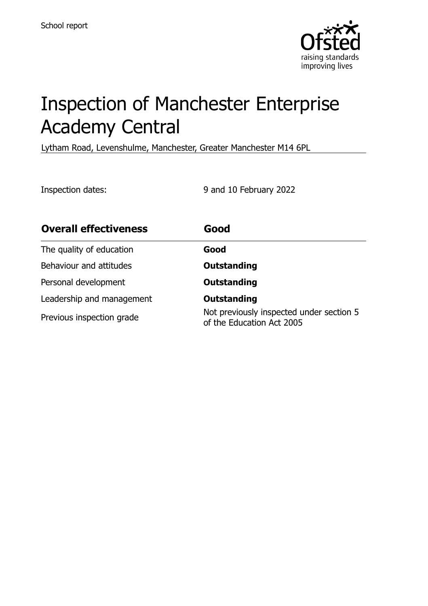

# Inspection of Manchester Enterprise Academy Central

Lytham Road, Levenshulme, Manchester, Greater Manchester M14 6PL

Inspection dates: 9 and 10 February 2022

| <b>Overall effectiveness</b> | Good                                                                  |
|------------------------------|-----------------------------------------------------------------------|
| The quality of education     | Good                                                                  |
| Behaviour and attitudes      | <b>Outstanding</b>                                                    |
| Personal development         | <b>Outstanding</b>                                                    |
| Leadership and management    | <b>Outstanding</b>                                                    |
| Previous inspection grade    | Not previously inspected under section 5<br>of the Education Act 2005 |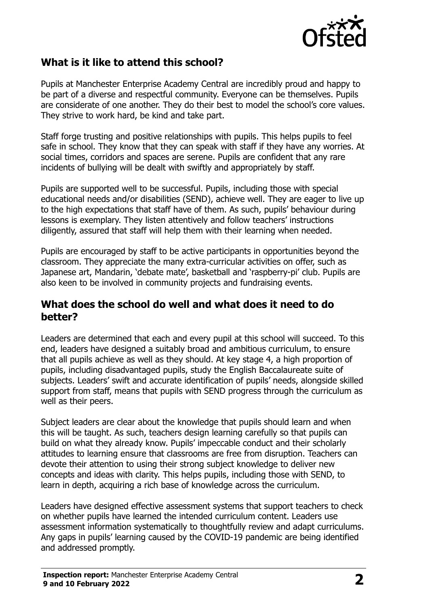

# **What is it like to attend this school?**

Pupils at Manchester Enterprise Academy Central are incredibly proud and happy to be part of a diverse and respectful community. Everyone can be themselves. Pupils are considerate of one another. They do their best to model the school's core values. They strive to work hard, be kind and take part.

Staff forge trusting and positive relationships with pupils. This helps pupils to feel safe in school. They know that they can speak with staff if they have any worries. At social times, corridors and spaces are serene. Pupils are confident that any rare incidents of bullying will be dealt with swiftly and appropriately by staff.

Pupils are supported well to be successful. Pupils, including those with special educational needs and/or disabilities (SEND), achieve well. They are eager to live up to the high expectations that staff have of them. As such, pupils' behaviour during lessons is exemplary. They listen attentively and follow teachers' instructions diligently, assured that staff will help them with their learning when needed.

Pupils are encouraged by staff to be active participants in opportunities beyond the classroom. They appreciate the many extra-curricular activities on offer, such as Japanese art, Mandarin, 'debate mate', basketball and 'raspberry-pi' club. Pupils are also keen to be involved in community projects and fundraising events.

#### **What does the school do well and what does it need to do better?**

Leaders are determined that each and every pupil at this school will succeed. To this end, leaders have designed a suitably broad and ambitious curriculum, to ensure that all pupils achieve as well as they should. At key stage 4, a high proportion of pupils, including disadvantaged pupils, study the English Baccalaureate suite of subjects. Leaders' swift and accurate identification of pupils' needs, alongside skilled support from staff, means that pupils with SEND progress through the curriculum as well as their peers.

Subject leaders are clear about the knowledge that pupils should learn and when this will be taught. As such, teachers design learning carefully so that pupils can build on what they already know. Pupils' impeccable conduct and their scholarly attitudes to learning ensure that classrooms are free from disruption. Teachers can devote their attention to using their strong subject knowledge to deliver new concepts and ideas with clarity. This helps pupils, including those with SEND, to learn in depth, acquiring a rich base of knowledge across the curriculum.

Leaders have designed effective assessment systems that support teachers to check on whether pupils have learned the intended curriculum content. Leaders use assessment information systematically to thoughtfully review and adapt curriculums. Any gaps in pupils' learning caused by the COVID-19 pandemic are being identified and addressed promptly.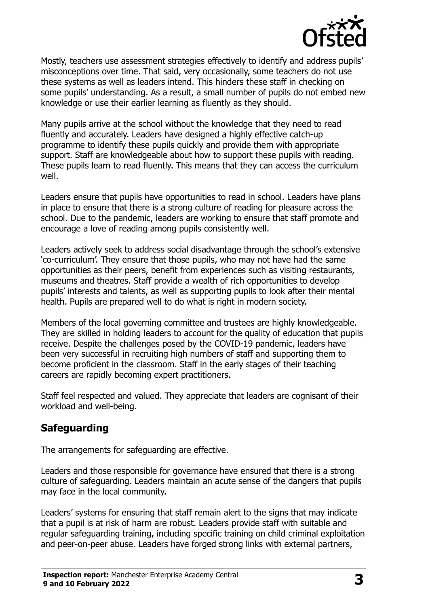

Mostly, teachers use assessment strategies effectively to identify and address pupils' misconceptions over time. That said, very occasionally, some teachers do not use these systems as well as leaders intend. This hinders these staff in checking on some pupils' understanding. As a result, a small number of pupils do not embed new knowledge or use their earlier learning as fluently as they should.

Many pupils arrive at the school without the knowledge that they need to read fluently and accurately. Leaders have designed a highly effective catch-up programme to identify these pupils quickly and provide them with appropriate support. Staff are knowledgeable about how to support these pupils with reading. These pupils learn to read fluently. This means that they can access the curriculum well.

Leaders ensure that pupils have opportunities to read in school. Leaders have plans in place to ensure that there is a strong culture of reading for pleasure across the school. Due to the pandemic, leaders are working to ensure that staff promote and encourage a love of reading among pupils consistently well.

Leaders actively seek to address social disadvantage through the school's extensive 'co-curriculum'. They ensure that those pupils, who may not have had the same opportunities as their peers, benefit from experiences such as visiting restaurants, museums and theatres. Staff provide a wealth of rich opportunities to develop pupils' interests and talents, as well as supporting pupils to look after their mental health. Pupils are prepared well to do what is right in modern society.

Members of the local governing committee and trustees are highly knowledgeable. They are skilled in holding leaders to account for the quality of education that pupils receive. Despite the challenges posed by the COVID-19 pandemic, leaders have been very successful in recruiting high numbers of staff and supporting them to become proficient in the classroom. Staff in the early stages of their teaching careers are rapidly becoming expert practitioners.

Staff feel respected and valued. They appreciate that leaders are cognisant of their workload and well-being.

# **Safeguarding**

The arrangements for safeguarding are effective.

Leaders and those responsible for governance have ensured that there is a strong culture of safeguarding. Leaders maintain an acute sense of the dangers that pupils may face in the local community.

Leaders' systems for ensuring that staff remain alert to the signs that may indicate that a pupil is at risk of harm are robust. Leaders provide staff with suitable and regular safeguarding training, including specific training on child criminal exploitation and peer-on-peer abuse. Leaders have forged strong links with external partners,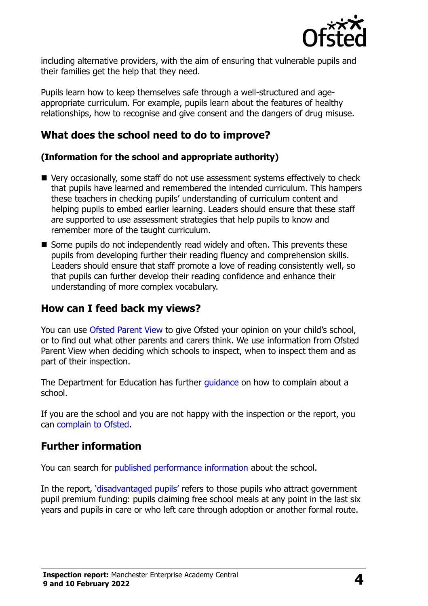

including alternative providers, with the aim of ensuring that vulnerable pupils and their families get the help that they need.

Pupils learn how to keep themselves safe through a well-structured and ageappropriate curriculum. For example, pupils learn about the features of healthy relationships, how to recognise and give consent and the dangers of drug misuse.

## **What does the school need to do to improve?**

#### **(Information for the school and appropriate authority)**

- Very occasionally, some staff do not use assessment systems effectively to check that pupils have learned and remembered the intended curriculum. This hampers these teachers in checking pupils' understanding of curriculum content and helping pupils to embed earlier learning. Leaders should ensure that these staff are supported to use assessment strategies that help pupils to know and remember more of the taught curriculum.
- Some pupils do not independently read widely and often. This prevents these pupils from developing further their reading fluency and comprehension skills. Leaders should ensure that staff promote a love of reading consistently well, so that pupils can further develop their reading confidence and enhance their understanding of more complex vocabulary.

#### **How can I feed back my views?**

You can use [Ofsted Parent View](http://parentview.ofsted.gov.uk/) to give Ofsted your opinion on your child's school, or to find out what other parents and carers think. We use information from Ofsted Parent View when deciding which schools to inspect, when to inspect them and as part of their inspection.

The Department for Education has further quidance on how to complain about a school.

If you are the school and you are not happy with the inspection or the report, you can [complain to Ofsted.](http://www.gov.uk/complain-ofsted-report)

### **Further information**

You can search for [published performance information](http://www.compare-school-performance.service.gov.uk/) about the school.

In the report, '[disadvantaged pupils](http://www.gov.uk/guidance/pupil-premium-information-for-schools-and-alternative-provision-settings)' refers to those pupils who attract government pupil premium funding: pupils claiming free school meals at any point in the last six years and pupils in care or who left care through adoption or another formal route.

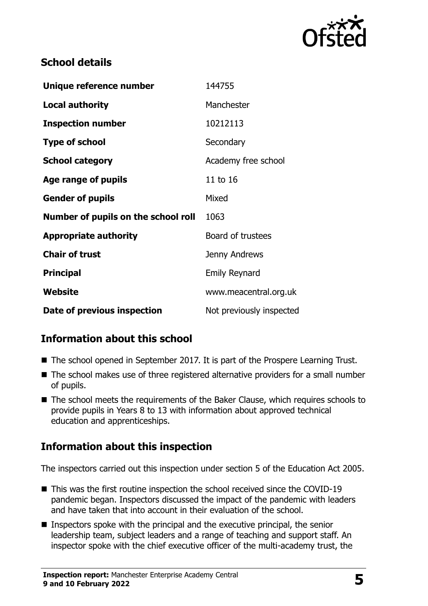

# **School details**

| Unique reference number             | 144755                   |
|-------------------------------------|--------------------------|
| <b>Local authority</b>              | Manchester               |
| <b>Inspection number</b>            | 10212113                 |
| <b>Type of school</b>               | Secondary                |
| <b>School category</b>              | Academy free school      |
| Age range of pupils                 | 11 to 16                 |
| <b>Gender of pupils</b>             | Mixed                    |
| Number of pupils on the school roll | 1063                     |
| <b>Appropriate authority</b>        | Board of trustees        |
| <b>Chair of trust</b>               | Jenny Andrews            |
| <b>Principal</b>                    | <b>Emily Reynard</b>     |
| <b>Website</b>                      | www.meacentral.org.uk    |
| Date of previous inspection         | Not previously inspected |

# **Information about this school**

- The school opened in September 2017. It is part of the Prospere Learning Trust.
- The school makes use of three registered alternative providers for a small number of pupils.
- The school meets the requirements of the Baker Clause, which requires schools to provide pupils in Years 8 to 13 with information about approved technical education and apprenticeships.

# **Information about this inspection**

The inspectors carried out this inspection under section 5 of the Education Act 2005.

- This was the first routine inspection the school received since the COVID-19 pandemic began. Inspectors discussed the impact of the pandemic with leaders and have taken that into account in their evaluation of the school.
- Inspectors spoke with the principal and the executive principal, the senior leadership team, subject leaders and a range of teaching and support staff. An inspector spoke with the chief executive officer of the multi-academy trust, the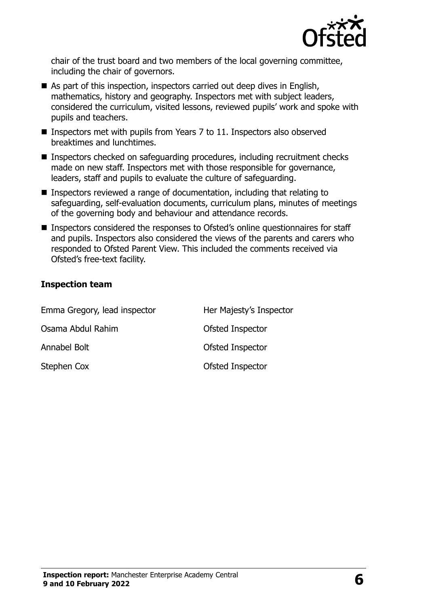

chair of the trust board and two members of the local governing committee, including the chair of governors.

- As part of this inspection, inspectors carried out deep dives in English, mathematics, history and geography. Inspectors met with subject leaders, considered the curriculum, visited lessons, reviewed pupils' work and spoke with pupils and teachers.
- Inspectors met with pupils from Years 7 to 11. Inspectors also observed breaktimes and lunchtimes.
- Inspectors checked on safeguarding procedures, including recruitment checks made on new staff. Inspectors met with those responsible for governance, leaders, staff and pupils to evaluate the culture of safeguarding.
- Inspectors reviewed a range of documentation, including that relating to safeguarding, self-evaluation documents, curriculum plans, minutes of meetings of the governing body and behaviour and attendance records.
- Inspectors considered the responses to Ofsted's online questionnaires for staff and pupils. Inspectors also considered the views of the parents and carers who responded to Ofsted Parent View. This included the comments received via Ofsted's free-text facility.

#### **Inspection team**

| Emma Gregory, lead inspector | Her Majesty's Inspector |
|------------------------------|-------------------------|
| Osama Abdul Rahim            | Ofsted Inspector        |
| Annabel Bolt                 | Ofsted Inspector        |
| Stephen Cox                  | Ofsted Inspector        |